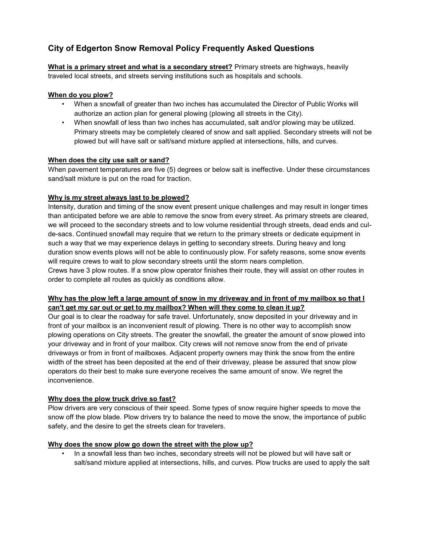# **City of Edgerton Snow Removal Policy Frequently Asked Questions**

**What is a primary street and what is a secondary street?** Primary streets are highways, heavily traveled local streets, and streets serving institutions such as hospitals and schools.

# **When do you plow?**

- When a snowfall of greater than two inches has accumulated the Director of Public Works will authorize an action plan for general plowing (plowing all streets in the City).
- When snowfall of less than two inches has accumulated, salt and/or plowing may be utilized. Primary streets may be completely cleared of snow and salt applied. Secondary streets will not be plowed but will have salt or salt/sand mixture applied at intersections, hills, and curves.

## **When does the city use salt or sand?**

When pavement temperatures are five (5) degrees or below salt is ineffective. Under these circumstances sand/salt mixture is put on the road for traction.

# **Why is my street always last to be plowed?**

Intensity, duration and timing of the snow event present unique challenges and may result in longer times than anticipated before we are able to remove the snow from every street. As primary streets are cleared, we will proceed to the secondary streets and to low volume residential through streets, dead ends and culde-sacs. Continued snowfall may require that we return to the primary streets or dedicate equipment in such a way that we may experience delays in getting to secondary streets. During heavy and long duration snow events plows will not be able to continuously plow. For safety reasons, some snow events will require crews to wait to plow secondary streets until the storm nears completion.

Crews have 3 plow routes. If a snow plow operator finishes their route, they will assist on other routes in order to complete all routes as quickly as conditions allow.

# **Why has the plow left a large amount of snow in my driveway and in front of my mailbox so that I can't get my car out or get to my mailbox? When will they come to clean it up?**

Our goal is to clear the roadway for safe travel. Unfortunately, snow deposited in your driveway and in front of your mailbox is an inconvenient result of plowing. There is no other way to accomplish snow plowing operations on City streets. The greater the snowfall, the greater the amount of snow plowed into your driveway and in front of your mailbox. City crews will not remove snow from the end of private driveways or from in front of mailboxes. Adjacent property owners may think the snow from the entire width of the street has been deposited at the end of their driveway, please be assured that snow plow operators do their best to make sure everyone receives the same amount of snow. We regret the inconvenience.

## **Why does the plow truck drive so fast?**

Plow drivers are very conscious of their speed. Some types of snow require higher speeds to move the snow off the plow blade. Plow drivers try to balance the need to move the snow, the importance of public safety, and the desire to get the streets clean for travelers.

## **Why does the snow plow go down the street with the plow up?**

• In a snowfall less than two inches, secondary streets will not be plowed but will have salt or salt/sand mixture applied at intersections, hills, and curves. Plow trucks are used to apply the salt